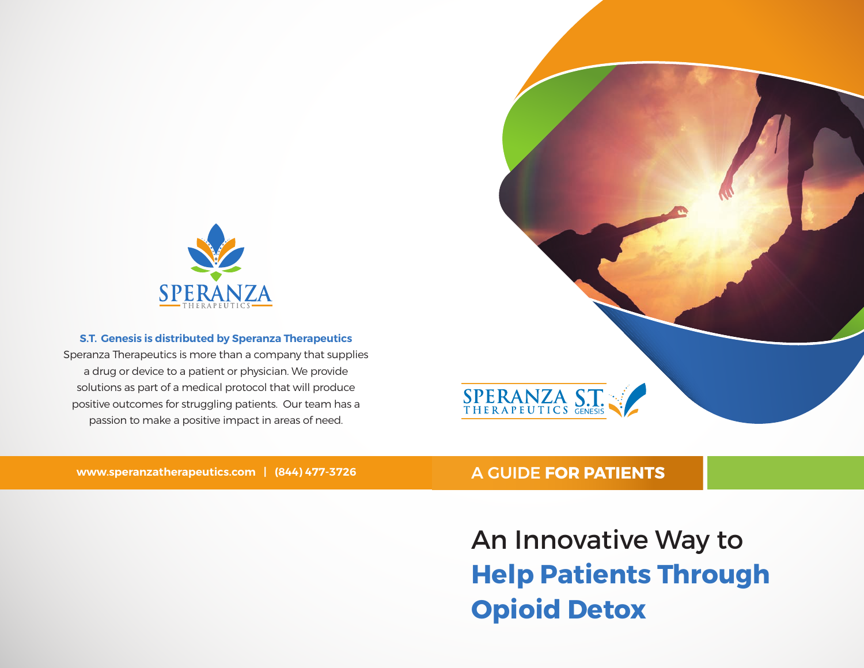

#### **S.T. Genesis is distributed by Speranza Therapeutics**

Speranza Therapeutics is more than a company that supplies a drug or device to a patient or physician. We provide solutions as part of a medical protocol that will produce positive outcomes for struggling patients. Our team has a passion to make a positive impact in areas of need.



#### **www.speranzatherapeutics.com | (844) 477-3726**

## A GUIDE **FOR PATIENTS**

An Innovative Way to **Help Patients Through Opioid Detox**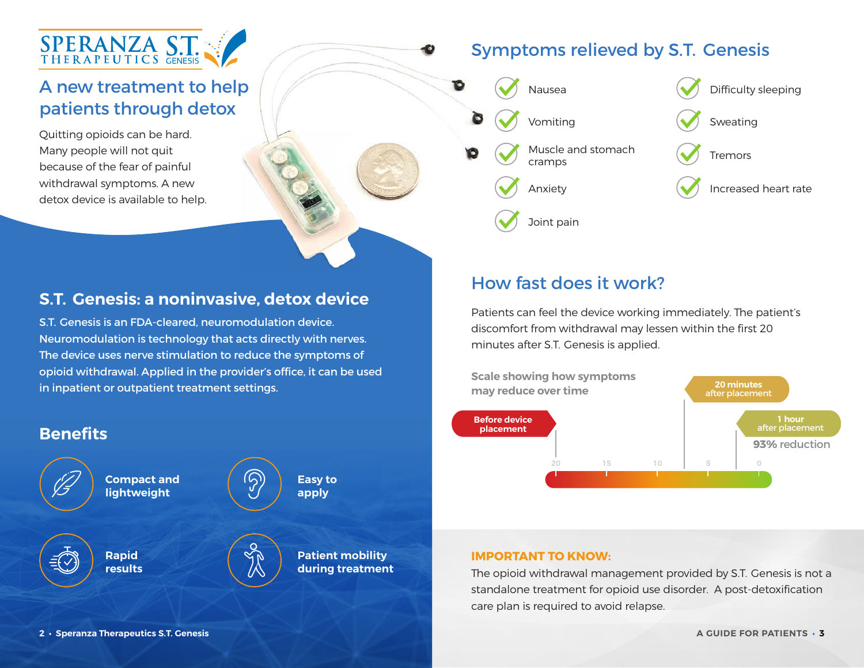

# A new treatment to help patients through detox

Quitting opioids can be hard. Many people will not quit because of the fear of painful withdrawal symptoms. A new detox device is available to help.

# Symptoms relieved by S.T. GenesisЮ  $\bigwedge$  Difficulty sleeping Vomiting  $\left(\bigvee\right)$  Sweating Muscle and stomach Tremors cramps Anxiety **Increased heart rate** Joint pain

## **S.T. Genesis: a noninvasive, detox device**

S.T. Genesis is an FDA-cleared, neuromodulation device. Neuromodulation is technology that acts directly with nerves. The device uses nerve stimulation to reduce the symptoms of opioid withdrawal. Applied in the provider's office, it can be used in inpatient or outpatient treatment settings.



# How fast does it work?

Patients can feel the device working immediately. The patient's discomfort from withdrawal may lessen within the first 20 minutes after S.T. Genesis is applied.



#### **IMPORTANT TO KNOW:**

The opioid withdrawal management provided by S.T. Genesis is not a standalone treatment for opioid use disorder. A post-detoxification care plan is required to avoid relapse.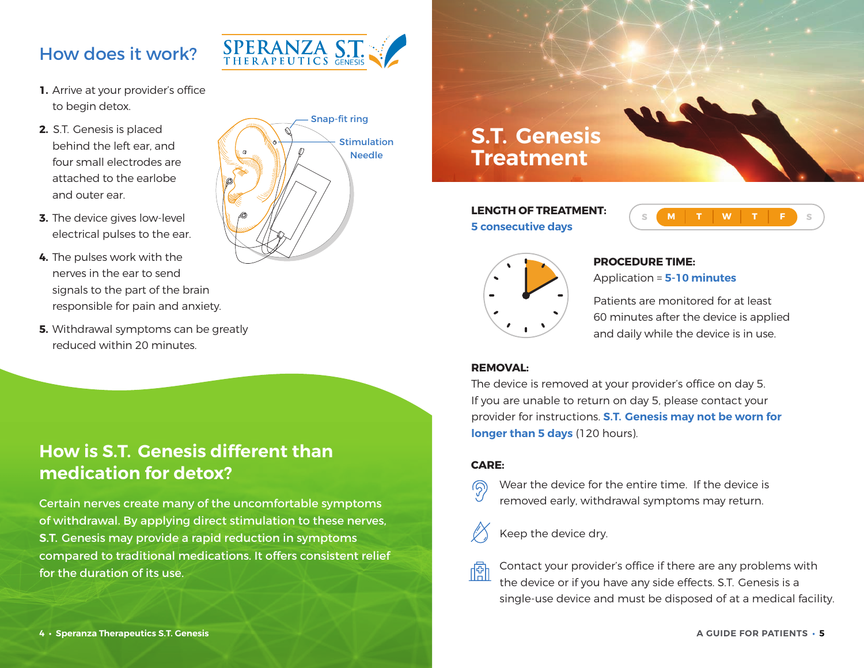# How does it work?



- **1.** Arrive at your provider's office to begin detox.
- **2.** S.T. Genesis is placed behind the left ear, and four small electrodes are attached to the earlobe and outer ear.
- **3.** The device gives low-level electrical pulses to the ear.
- **4.** The pulses work with the nerves in the ear to send signals to the part of the brain responsible for pain and anxiety.
- **5.** Withdrawal symptoms can be greatly reduced within 20 minutes.



# **How is S.T. Genesis different than medication for detox?**

Certain nerves create many of the uncomfortable symptoms of withdrawal. By applying direct stimulation to these nerves, S.T. Genesis may provide a rapid reduction in symptoms compared to traditional medications. It offers consistent relief for the duration of its use.



**LENGTH OF TREATMENT: 5 consecutive days**





# **PROCEDURE TIME:**

Application = **5-10 minutes**

Patients are monitored for at least 60 minutes after the device is applied and daily while the device is in use.

#### **DEMOVAL:**

The device is removed at your provider's office on day 5. If you are unable to return on day 5, please contact your provider for instructions. **S.T. Genesis may not be worn for longer than 5 days** (120 hours).

#### **CARE:**

ାରି

阍

Wear the device for the entire time. If the device is removed early, withdrawal symptoms may return.

# Keep the device dry.

Contact your provider's office if there are any problems with the device or if you have any side effects. S.T. Genesis is a single-use device and must be disposed of at a medical facility.